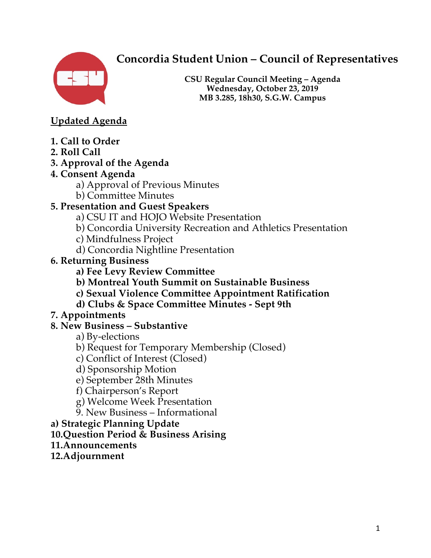# **Concordia Student Union – Council of Representatives**



**CSU Regular Council Meeting – Agenda Wednesday, October 23, 2019 MB 3.285, 18h30, S.G.W. Campus**

**Updated Agenda** 

- **1. Call to Order**
- **2. Roll Call**

## **3. Approval of the Agenda**

## **4. Consent Agenda**

- a) Approval of Previous Minutes
- b) Committee Minutes

## **5. Presentation and Guest Speakers**

- a) CSU IT and HOJO Website Presentation
- b) Concordia University Recreation and Athletics Presentation
- c) Mindfulness Project
- d) Concordia Nightline Presentation
- **6. Returning Business** 
	- **a) Fee Levy Review Committee**
	- **b) Montreal Youth Summit on Sustainable Business**
	- **c) Sexual Violence Committee Appointment Ratification**
	- **d) Clubs & Space Committee Minutes - Sept 9th**

## **7. Appointments**

## **8. New Business – Substantive**

- a) By-elections
- b) Request for Temporary Membership (Closed)
- c) Conflict of Interest (Closed)
- d) Sponsorship Motion
- e) September 28th Minutes
- f) Chairperson's Report
- g) Welcome Week Presentation
- 9. New Business Informational
- **a) Strategic Planning Update**
- **10.Question Period & Business Arising**
- **11.Announcements**
- **12.Adjournment**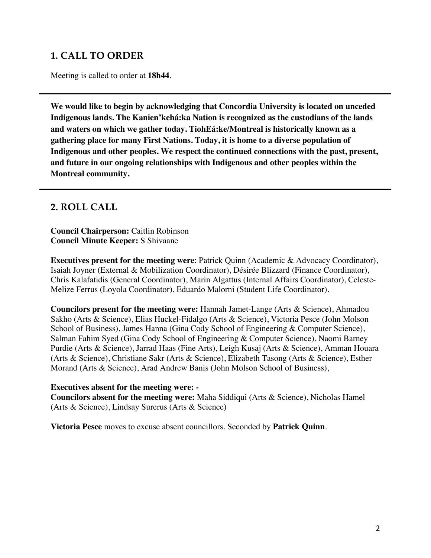## **1. CALL TO ORDER**

Meeting is called to order at **18h44**.

**We would like to begin by acknowledging that Concordia University is located on unceded Indigenous lands. The Kanien'kehá:ka Nation is recognized as the custodians of the lands and waters on which we gather today. TiohEá:ke/Montreal is historically known as a gathering place for many First Nations. Today, it is home to a diverse population of Indigenous and other peoples. We respect the continued connections with the past, present, and future in our ongoing relationships with Indigenous and other peoples within the Montreal community.**

### **2. ROLL CALL**

**Council Chairperson:** Caitlin Robinson **Council Minute Keeper:** S Shivaane

**Executives present for the meeting were**: Patrick Quinn (Academic & Advocacy Coordinator), Isaiah Joyner (External & Mobilization Coordinator), Désirée Blizzard (Finance Coordinator), Chris Kalafatidis (General Coordinator), Marin Algattus (Internal Affairs Coordinator), Celeste-Melize Ferrus (Loyola Coordinator), Eduardo Malorni (Student Life Coordinator).

**Councilors present for the meeting were:** Hannah Jamet-Lange (Arts & Science), Ahmadou Sakho (Arts & Science), Elias Huckel-Fidalgo (Arts & Science), Victoria Pesce (John Molson School of Business), James Hanna (Gina Cody School of Engineering & Computer Science), Salman Fahim Syed (Gina Cody School of Engineering & Computer Science), Naomi Barney Purdie (Arts & Science), Jarrad Haas (Fine Arts), Leigh Kusaj (Arts & Science), Amman Houara (Arts & Science), Christiane Sakr (Arts & Science), Elizabeth Tasong (Arts & Science), Esther Morand (Arts & Science), Arad Andrew Banis (John Molson School of Business),

#### **Executives absent for the meeting were: -**

**Councilors absent for the meeting were:** Maha Siddiqui (Arts & Science), Nicholas Hamel (Arts & Science), Lindsay Surerus (Arts & Science)

**Victoria Pesce** moves to excuse absent councillors. Seconded by **Patrick Quinn**.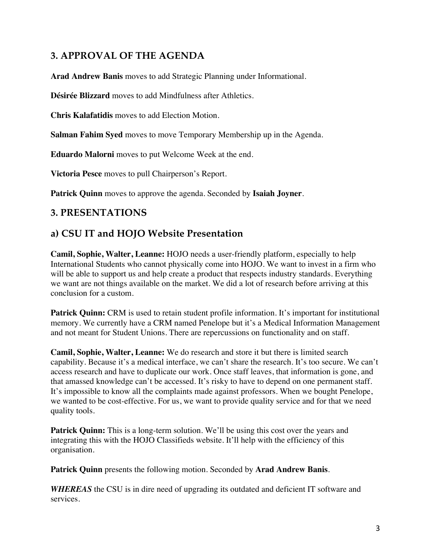## **3. APPROVAL OF THE AGENDA**

**Arad Andrew Banis** moves to add Strategic Planning under Informational.

**Désirée Blizzard** moves to add Mindfulness after Athletics.

**Chris Kalafatidis** moves to add Election Motion.

**Salman Fahim Syed** moves to move Temporary Membership up in the Agenda.

**Eduardo Malorni** moves to put Welcome Week at the end.

**Victoria Pesce** moves to pull Chairperson's Report.

**Patrick Quinn** moves to approve the agenda. Seconded by **Isaiah Joyner**.

### **3. PRESENTATIONS**

### **a) CSU IT and HOJO Website Presentation**

**Camil, Sophie, Walter, Leanne:** HOJO needs a user-friendly platform, especially to help International Students who cannot physically come into HOJO. We want to invest in a firm who will be able to support us and help create a product that respects industry standards. Everything we want are not things available on the market. We did a lot of research before arriving at this conclusion for a custom.

**Patrick Quinn:** CRM is used to retain student profile information. It's important for institutional memory. We currently have a CRM named Penelope but it's a Medical Information Management and not meant for Student Unions. There are repercussions on functionality and on staff.

**Camil, Sophie, Walter, Leanne:** We do research and store it but there is limited search capability. Because it's a medical interface, we can't share the research. It's too secure. We can't access research and have to duplicate our work. Once staff leaves, that information is gone, and that amassed knowledge can't be accessed. It's risky to have to depend on one permanent staff. It's impossible to know all the complaints made against professors. When we bought Penelope, we wanted to be cost-effective. For us, we want to provide quality service and for that we need quality tools.

**Patrick Quinn:** This is a long-term solution. We'll be using this cost over the years and integrating this with the HOJO Classifieds website. It'll help with the efficiency of this organisation.

**Patrick Quinn** presents the following motion. Seconded by **Arad Andrew Banis**.

*WHEREAS* the CSU is in dire need of upgrading its outdated and deficient IT software and services.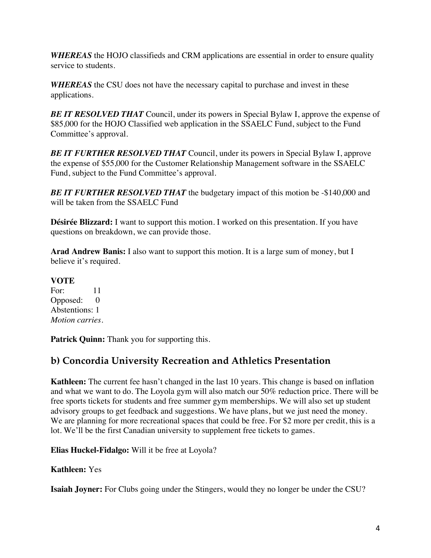*WHEREAS* the HOJO classifieds and CRM applications are essential in order to ensure quality service to students.

*WHEREAS* the CSU does not have the necessary capital to purchase and invest in these applications.

**BE IT RESOLVED THAT** Council, under its powers in Special Bylaw I, approve the expense of \$85,000 for the HOJO Classified web application in the SSAELC Fund, subject to the Fund Committee's approval.

*BE IT FURTHER RESOLVED THAT* Council, under its powers in Special Bylaw I, approve the expense of \$55,000 for the Customer Relationship Management software in the SSAELC Fund, subject to the Fund Committee's approval.

**BE IT FURTHER RESOLVED THAT** the budgetary impact of this motion be -\$140,000 and will be taken from the SSAELC Fund

**Désirée Blizzard:** I want to support this motion. I worked on this presentation. If you have questions on breakdown, we can provide those.

**Arad Andrew Banis:** I also want to support this motion. It is a large sum of money, but I believe it's required.

#### **VOTE**

For: 11 Opposed: 0 Abstentions: 1 *Motion carries.* 

**Patrick Quinn:** Thank you for supporting this.

## **b) Concordia University Recreation and Athletics Presentation**

**Kathleen:** The current fee hasn't changed in the last 10 years. This change is based on inflation and what we want to do. The Loyola gym will also match our 50% reduction price. There will be free sports tickets for students and free summer gym memberships. We will also set up student advisory groups to get feedback and suggestions. We have plans, but we just need the money. We are planning for more recreational spaces that could be free. For \$2 more per credit, this is a lot. We'll be the first Canadian university to supplement free tickets to games.

**Elias Huckel-Fidalgo:** Will it be free at Loyola?

#### **Kathleen:** Yes

**Isaiah Joyner:** For Clubs going under the Stingers, would they no longer be under the CSU?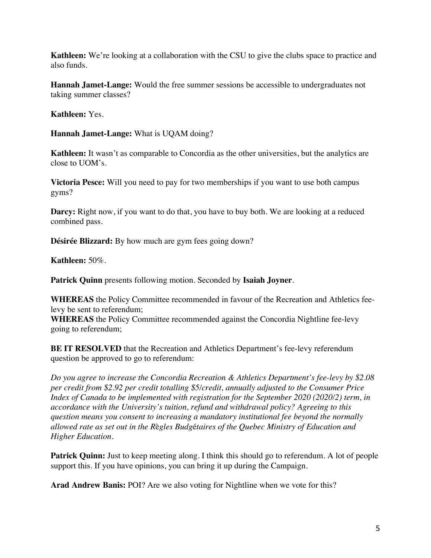**Kathleen:** We're looking at a collaboration with the CSU to give the clubs space to practice and also funds.

**Hannah Jamet-Lange:** Would the free summer sessions be accessible to undergraduates not taking summer classes?

**Kathleen:** Yes.

**Hannah Jamet-Lange:** What is UQAM doing?

**Kathleen:** It wasn't as comparable to Concordia as the other universities, but the analytics are close to UOM's.

**Victoria Pesce:** Will you need to pay for two memberships if you want to use both campus gyms?

**Darcy:** Right now, if you want to do that, you have to buy both. We are looking at a reduced combined pass.

**Désirée Blizzard:** By how much are gym fees going down?

**Kathleen:** 50%.

**Patrick Quinn** presents following motion. Seconded by **Isaiah Joyner**.

**WHEREAS** the Policy Committee recommended in favour of the Recreation and Athletics feelevy be sent to referendum;

**WHEREAS** the Policy Committee recommended against the Concordia Nightline fee-levy going to referendum;

**BE IT RESOLVED** that the Recreation and Athletics Department's fee-levy referendum question be approved to go to referendum:

*Do you agree to increase the Concordia Recreation & Athletics Department's fee-levy by \$2.08 per credit from \$2.92 per credit totalling \$5/credit, annually adjusted to the Consumer Price Index of Canada to be implemented with registration for the September 2020 (2020/2) term, in accordance with the University's tuition, refund and withdrawal policy? Agreeing to this question means you consent to increasing a mandatory institutional fee beyond the normally allowed rate as set out in the R*è*gles Budg*é*taires of the Quebec Ministry of Education and Higher Education.* 

**Patrick Quinn:** Just to keep meeting along. I think this should go to referendum. A lot of people support this. If you have opinions, you can bring it up during the Campaign.

**Arad Andrew Banis:** POI? Are we also voting for Nightline when we vote for this?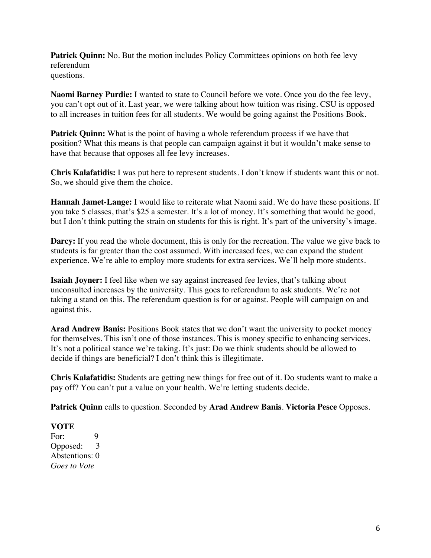**Patrick Quinn:** No. But the motion includes Policy Committees opinions on both fee levy referendum questions.

**Naomi Barney Purdie:** I wanted to state to Council before we vote. Once you do the fee levy, you can't opt out of it. Last year, we were talking about how tuition was rising. CSU is opposed to all increases in tuition fees for all students. We would be going against the Positions Book.

**Patrick Quinn:** What is the point of having a whole referendum process if we have that position? What this means is that people can campaign against it but it wouldn't make sense to have that because that opposes all fee levy increases.

**Chris Kalafatidis:** I was put here to represent students. I don't know if students want this or not. So, we should give them the choice.

**Hannah Jamet-Lange:** I would like to reiterate what Naomi said. We do have these positions. If you take 5 classes, that's \$25 a semester. It's a lot of money. It's something that would be good, but I don't think putting the strain on students for this is right. It's part of the university's image.

**Darcy:** If you read the whole document, this is only for the recreation. The value we give back to students is far greater than the cost assumed. With increased fees, we can expand the student experience. We're able to employ more students for extra services. We'll help more students.

**Isaiah Joyner:** I feel like when we say against increased fee levies, that's talking about unconsulted increases by the university. This goes to referendum to ask students. We're not taking a stand on this. The referendum question is for or against. People will campaign on and against this.

**Arad Andrew Banis:** Positions Book states that we don't want the university to pocket money for themselves. This isn't one of those instances. This is money specific to enhancing services. It's not a political stance we're taking. It's just: Do we think students should be allowed to decide if things are beneficial? I don't think this is illegitimate.

**Chris Kalafatidis:** Students are getting new things for free out of it. Do students want to make a pay off? You can't put a value on your health. We're letting students decide.

**Patrick Quinn** calls to question. Seconded by **Arad Andrew Banis**. **Victoria Pesce** Opposes.

### **VOTE**

For: 9<br>Opposed: 3 Opposed: Abstentions: 0 *Goes to Vote*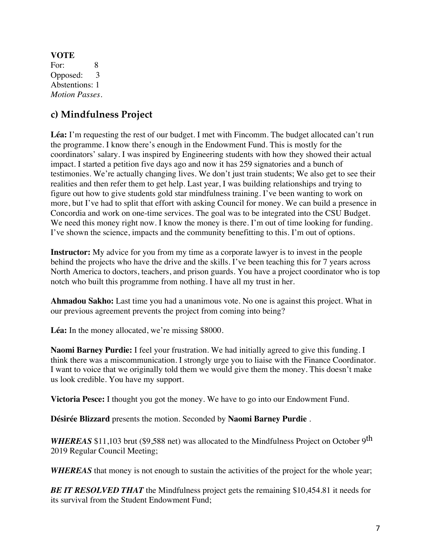**VOTE**  For: 8 Opposed: 3 Abstentions: 1 *Motion Passes.* 

## **c) Mindfulness Project**

**Léa:** I'm requesting the rest of our budget. I met with Fincomm. The budget allocated can't run the programme. I know there's enough in the Endowment Fund. This is mostly for the coordinators' salary. I was inspired by Engineering students with how they showed their actual impact. I started a petition five days ago and now it has 259 signatories and a bunch of testimonies. We're actually changing lives. We don't just train students; We also get to see their realities and then refer them to get help. Last year, I was building relationships and trying to figure out how to give students gold star mindfulness training. I've been wanting to work on more, but I've had to split that effort with asking Council for money. We can build a presence in Concordia and work on one-time services. The goal was to be integrated into the CSU Budget. We need this money right now. I know the money is there. I'm out of time looking for funding. I've shown the science, impacts and the community benefitting to this. I'm out of options.

**Instructor:** My advice for you from my time as a corporate lawyer is to invest in the people behind the projects who have the drive and the skills. I've been teaching this for 7 years across North America to doctors, teachers, and prison guards. You have a project coordinator who is top notch who built this programme from nothing. I have all my trust in her.

**Ahmadou Sakho:** Last time you had a unanimous vote. No one is against this project. What in our previous agreement prevents the project from coming into being?

Léa: In the money allocated, we're missing \$8000.

**Naomi Barney Purdie:** I feel your frustration. We had initially agreed to give this funding. I think there was a miscommunication. I strongly urge you to liaise with the Finance Coordinator. I want to voice that we originally told them we would give them the money. This doesn't make us look credible. You have my support.

**Victoria Pesce:** I thought you got the money. We have to go into our Endowment Fund.

**Désirée Blizzard** presents the motion. Seconded by **Naomi Barney Purdie** .

*WHEREAS* \$11,103 brut (\$9,588 net) was allocated to the Mindfulness Project on October 9<sup>th</sup> 2019 Regular Council Meeting;

*WHEREAS* that money is not enough to sustain the activities of the project for the whole year;

*BE IT RESOLVED THAT* the Mindfulness project gets the remaining \$10,454.81 it needs for its survival from the Student Endowment Fund;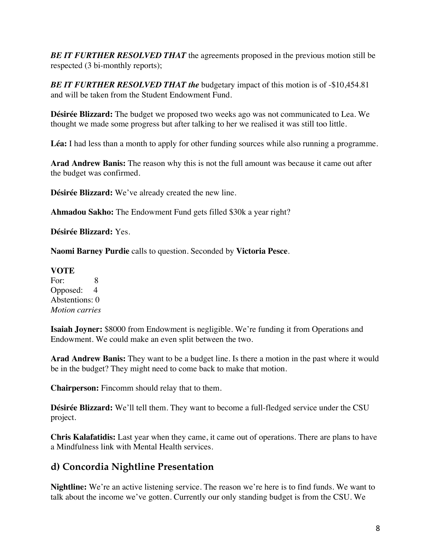*BE IT FURTHER RESOLVED THAT* the agreements proposed in the previous motion still be respected (3 bi-monthly reports);

*BE IT FURTHER RESOLVED THAT the* budgetary impact of this motion is of -\$10,454.81 and will be taken from the Student Endowment Fund.

**Désirée Blizzard:** The budget we proposed two weeks ago was not communicated to Lea. We thought we made some progress but after talking to her we realised it was still too little.

**Léa:** I had less than a month to apply for other funding sources while also running a programme.

**Arad Andrew Banis:** The reason why this is not the full amount was because it came out after the budget was confirmed.

**Désirée Blizzard:** We've already created the new line.

**Ahmadou Sakho:** The Endowment Fund gets filled \$30k a year right?

**Désirée Blizzard:** Yes.

**Naomi Barney Purdie** calls to question. Seconded by **Victoria Pesce**.

#### **VOTE**

For: 8 Opposed: 4 Abstentions: 0 *Motion carries* 

**Isaiah Joyner:** \$8000 from Endowment is negligible. We're funding it from Operations and Endowment. We could make an even split between the two.

**Arad Andrew Banis:** They want to be a budget line. Is there a motion in the past where it would be in the budget? They might need to come back to make that motion.

**Chairperson:** Fincomm should relay that to them.

**Désirée Blizzard:** We'll tell them. They want to become a full-fledged service under the CSU project.

**Chris Kalafatidis:** Last year when they came, it came out of operations. There are plans to have a Mindfulness link with Mental Health services.

## **d) Concordia Nightline Presentation**

**Nightline:** We're an active listening service. The reason we're here is to find funds. We want to talk about the income we've gotten. Currently our only standing budget is from the CSU. We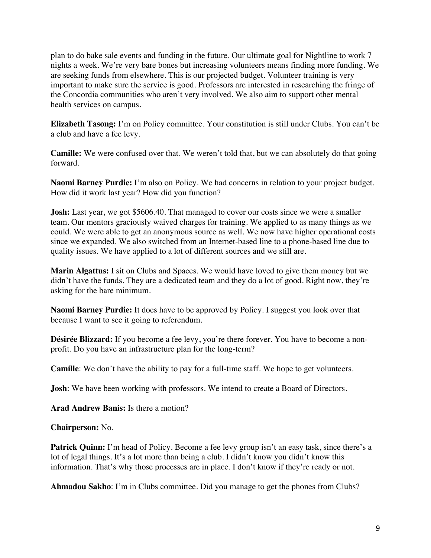plan to do bake sale events and funding in the future. Our ultimate goal for Nightline to work 7 nights a week. We're very bare bones but increasing volunteers means finding more funding. We are seeking funds from elsewhere. This is our projected budget. Volunteer training is very important to make sure the service is good. Professors are interested in researching the fringe of the Concordia communities who aren't very involved. We also aim to support other mental health services on campus.

**Elizabeth Tasong:** I'm on Policy committee. Your constitution is still under Clubs. You can't be a club and have a fee levy.

**Camille:** We were confused over that. We weren't told that, but we can absolutely do that going forward.

**Naomi Barney Purdie:** I'm also on Policy. We had concerns in relation to your project budget. How did it work last year? How did you function?

**Josh:** Last year, we got \$5606.40. That managed to cover our costs since we were a smaller team. Our mentors graciously waived charges for training. We applied to as many things as we could. We were able to get an anonymous source as well. We now have higher operational costs since we expanded. We also switched from an Internet-based line to a phone-based line due to quality issues. We have applied to a lot of different sources and we still are.

**Marin Algattus:** I sit on Clubs and Spaces. We would have loved to give them money but we didn't have the funds. They are a dedicated team and they do a lot of good. Right now, they're asking for the bare minimum.

**Naomi Barney Purdie:** It does have to be approved by Policy. I suggest you look over that because I want to see it going to referendum.

**Désirée Blizzard:** If you become a fee levy, you're there forever. You have to become a nonprofit. Do you have an infrastructure plan for the long-term?

**Camille**: We don't have the ability to pay for a full-time staff. We hope to get volunteers.

**Josh**: We have been working with professors. We intend to create a Board of Directors.

**Arad Andrew Banis:** Is there a motion?

**Chairperson:** No.

**Patrick Quinn:** I'm head of Policy. Become a fee levy group isn't an easy task, since there's a lot of legal things. It's a lot more than being a club. I didn't know you didn't know this information. That's why those processes are in place. I don't know if they're ready or not.

**Ahmadou Sakho**: I'm in Clubs committee. Did you manage to get the phones from Clubs?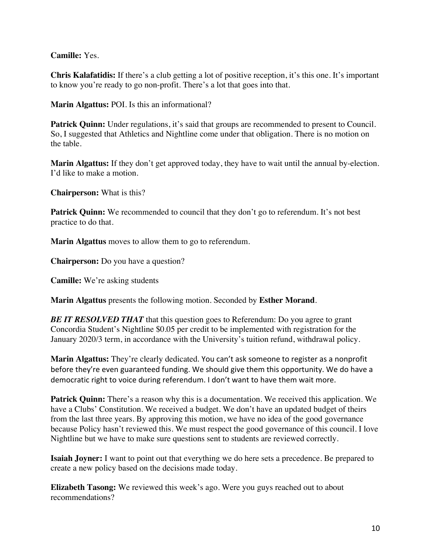**Camille:** Yes.

**Chris Kalafatidis:** If there's a club getting a lot of positive reception, it's this one. It's important to know you're ready to go non-profit. There's a lot that goes into that.

**Marin Algattus:** POI. Is this an informational?

**Patrick Quinn:** Under regulations, it's said that groups are recommended to present to Council. So, I suggested that Athletics and Nightline come under that obligation. There is no motion on the table.

**Marin Algattus:** If they don't get approved today, they have to wait until the annual by-election. I'd like to make a motion.

**Chairperson:** What is this?

Patrick Quinn: We recommended to council that they don't go to referendum. It's not best practice to do that.

**Marin Algattus** moves to allow them to go to referendum.

**Chairperson:** Do you have a question?

**Camille:** We're asking students

**Marin Algattus** presents the following motion. Seconded by **Esther Morand**.

*BE IT RESOLVED THAT* that this question goes to Referendum: Do you agree to grant Concordia Student's Nightline \$0.05 per credit to be implemented with registration for the January 2020/3 term, in accordance with the University's tuition refund, withdrawal policy.

**Marin Algattus:** They're clearly dedicated. You can't ask someone to register as a nonprofit before they're even guaranteed funding. We should give them this opportunity. We do have a democratic right to voice during referendum. I don't want to have them wait more.

**Patrick Quinn:** There's a reason why this is a documentation. We received this application. We have a Clubs' Constitution. We received a budget. We don't have an updated budget of theirs from the last three years. By approving this motion, we have no idea of the good governance because Policy hasn't reviewed this. We must respect the good governance of this council. I love Nightline but we have to make sure questions sent to students are reviewed correctly.

**Isaiah Joyner:** I want to point out that everything we do here sets a precedence. Be prepared to create a new policy based on the decisions made today.

**Elizabeth Tasong:** We reviewed this week's ago. Were you guys reached out to about recommendations?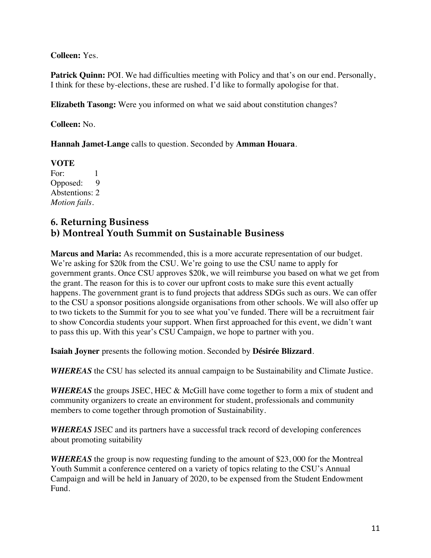**Colleen:** Yes.

**Patrick Quinn:** POI. We had difficulties meeting with Policy and that's on our end. Personally, I think for these by-elections, these are rushed. I'd like to formally apologise for that.

**Elizabeth Tasong:** Were you informed on what we said about constitution changes?

**Colleen:** No.

**Hannah Jamet-Lange** calls to question. Seconded by **Amman Houara**.

**VOTE**  For: 1<br>Opposed: 9 Opposed: Abstentions: 2 *Motion fails.* 

### **6. Returning Business b) Montreal Youth Summit on Sustainable Business**

**Marcus and Maria:** As recommended, this is a more accurate representation of our budget. We're asking for \$20k from the CSU. We're going to use the CSU name to apply for government grants. Once CSU approves \$20k, we will reimburse you based on what we get from the grant. The reason for this is to cover our upfront costs to make sure this event actually happens. The government grant is to fund projects that address SDGs such as ours. We can offer to the CSU a sponsor positions alongside organisations from other schools. We will also offer up to two tickets to the Summit for you to see what you've funded. There will be a recruitment fair to show Concordia students your support. When first approached for this event, we didn't want to pass this up. With this year's CSU Campaign, we hope to partner with you.

**Isaiah Joyner** presents the following motion. Seconded by **Désirée Blizzard**.

*WHEREAS* the CSU has selected its annual campaign to be Sustainability and Climate Justice.

*WHEREAS* the groups JSEC, HEC & McGill have come together to form a mix of student and community organizers to create an environment for student, professionals and community members to come together through promotion of Sustainability.

*WHEREAS* JSEC and its partners have a successful track record of developing conferences about promoting suitability

*WHEREAS* the group is now requesting funding to the amount of \$23,000 for the Montreal Youth Summit a conference centered on a variety of topics relating to the CSU's Annual Campaign and will be held in January of 2020, to be expensed from the Student Endowment Fund.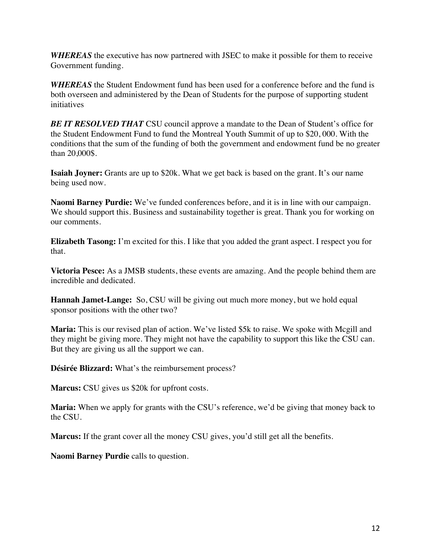*WHEREAS* the executive has now partnered with JSEC to make it possible for them to receive Government funding.

*WHEREAS* the Student Endowment fund has been used for a conference before and the fund is both overseen and administered by the Dean of Students for the purpose of supporting student initiatives

*BE IT RESOLVED THAT* CSU council approve a mandate to the Dean of Student's office for the Student Endowment Fund to fund the Montreal Youth Summit of up to \$20, 000. With the conditions that the sum of the funding of both the government and endowment fund be no greater than 20,000\$.

**Isaiah Joyner:** Grants are up to \$20k. What we get back is based on the grant. It's our name being used now.

**Naomi Barney Purdie:** We've funded conferences before, and it is in line with our campaign. We should support this. Business and sustainability together is great. Thank you for working on our comments.

**Elizabeth Tasong:** I'm excited for this. I like that you added the grant aspect. I respect you for that.

**Victoria Pesce:** As a JMSB students, these events are amazing. And the people behind them are incredible and dedicated.

**Hannah Jamet-Lange:** So, CSU will be giving out much more money, but we hold equal sponsor positions with the other two?

**Maria:** This is our revised plan of action. We've listed \$5k to raise. We spoke with Mcgill and they might be giving more. They might not have the capability to support this like the CSU can. But they are giving us all the support we can.

**Désirée Blizzard:** What's the reimbursement process?

**Marcus:** CSU gives us \$20k for upfront costs.

**Maria:** When we apply for grants with the CSU's reference, we'd be giving that money back to the CSU.

**Marcus:** If the grant cover all the money CSU gives, you'd still get all the benefits.

**Naomi Barney Purdie** calls to question.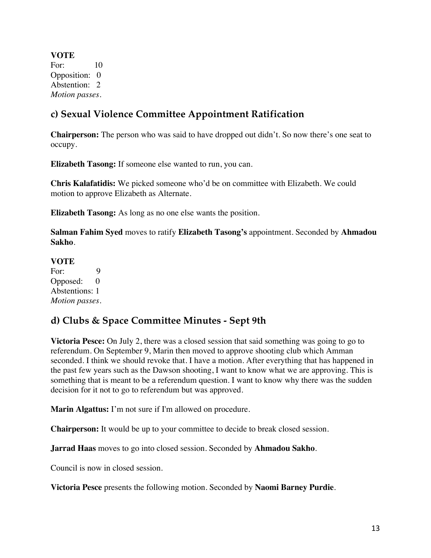**VOTE**  For: 10 Opposition: 0 Abstention: 2 *Motion passes.* 

## **c) Sexual Violence Committee Appointment Ratification**

**Chairperson:** The person who was said to have dropped out didn't. So now there's one seat to occupy.

**Elizabeth Tasong:** If someone else wanted to run, you can.

**Chris Kalafatidis:** We picked someone who'd be on committee with Elizabeth. We could motion to approve Elizabeth as Alternate.

**Elizabeth Tasong:** As long as no one else wants the position.

**Salman Fahim Syed** moves to ratify **Elizabeth Tasong's** appointment. Seconded by **Ahmadou Sakho**.

#### **VOTE**

For: 9 Opposed: 0 Abstentions: 1 *Motion passes.* 

## **d) Clubs & Space Committee Minutes - Sept 9th**

**Victoria Pesce:** On July 2, there was a closed session that said something was going to go to referendum. On September 9, Marin then moved to approve shooting club which Amman seconded. I think we should revoke that. I have a motion. After everything that has happened in the past few years such as the Dawson shooting, I want to know what we are approving. This is something that is meant to be a referendum question. I want to know why there was the sudden decision for it not to go to referendum but was approved.

**Marin Algattus:** I'm not sure if I'm allowed on procedure.

**Chairperson:** It would be up to your committee to decide to break closed session.

**Jarrad Haas** moves to go into closed session. Seconded by **Ahmadou Sakho**.

Council is now in closed session.

**Victoria Pesce** presents the following motion. Seconded by **Naomi Barney Purdie**.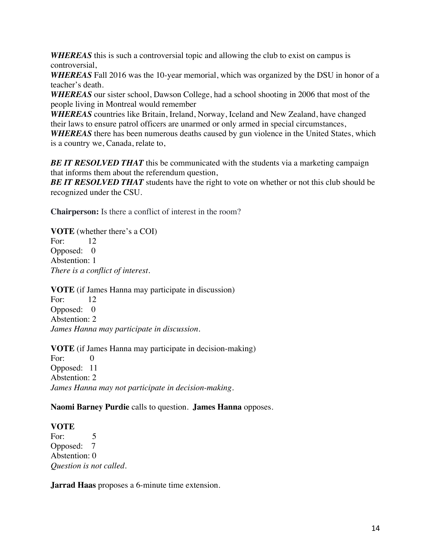*WHEREAS* this is such a controversial topic and allowing the club to exist on campus is controversial,

*WHEREAS* Fall 2016 was the 10-year memorial, which was organized by the DSU in honor of a teacher's death.

*WHEREAS* our sister school, Dawson College, had a school shooting in 2006 that most of the people living in Montreal would remember

*WHEREAS* countries like Britain, Ireland, Norway, Iceland and New Zealand, have changed their laws to ensure patrol officers are unarmed or only armed in special circumstances,

*WHEREAS* there has been numerous deaths caused by gun violence in the United States, which is a country we, Canada, relate to,

**BE IT RESOLVED THAT** this be communicated with the students via a marketing campaign that informs them about the referendum question,

**BE IT RESOLVED THAT** students have the right to vote on whether or not this club should be recognized under the CSU.

**Chairperson:** Is there a conflict of interest in the room?

**VOTE** (whether there's a COI) For: 12 Opposed: 0 Abstention: 1 *There is a conflict of interest.* 

**VOTE** (if James Hanna may participate in discussion) For: 12 Opposed: 0 Abstention: 2 *James Hanna may participate in discussion.* 

**VOTE** (if James Hanna may participate in decision-making) For: 0 Opposed: 11 Abstention: 2 *James Hanna may not participate in decision-making.* 

**Naomi Barney Purdie** calls to question. **James Hanna** opposes.

#### **VOTE**

For: 5 Opposed: 7 Abstention: 0 *Question is not called.* 

**Jarrad Haas** proposes a 6-minute time extension.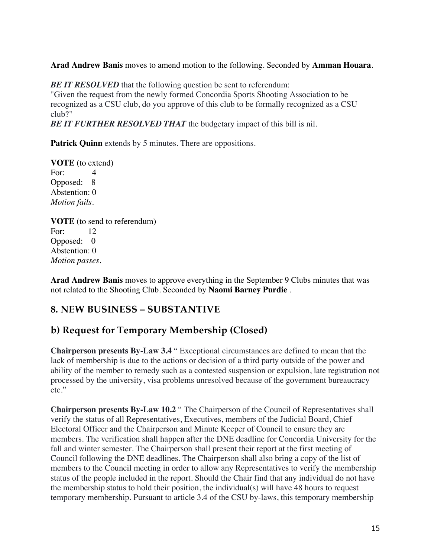**Arad Andrew Banis** moves to amend motion to the following. Seconded by **Amman Houara**.

**BE IT RESOLVED** that the following question be sent to referendum: "Given the request from the newly formed Concordia Sports Shooting Association to be recognized as a CSU club, do you approve of this club to be formally recognized as a CSU club?"

**BE IT FURTHER RESOLVED THAT** the budgetary impact of this bill is nil.

**Patrick Quinn** extends by 5 minutes. There are oppositions.

**VOTE** (to extend) For: 4 Opposed: 8 Abstention: 0 *Motion fails.* 

**VOTE** (to send to referendum) For: 12 Opposed: 0 Abstention: 0 *Motion passes.* 

**Arad Andrew Banis** moves to approve everything in the September 9 Clubs minutes that was not related to the Shooting Club. Seconded by **Naomi Barney Purdie** .

### **8. NEW BUSINESS – SUBSTANTIVE**

### **b) Request for Temporary Membership (Closed)**

**Chairperson presents By-Law 3.4** " Exceptional circumstances are defined to mean that the lack of membership is due to the actions or decision of a third party outside of the power and ability of the member to remedy such as a contested suspension or expulsion, late registration not processed by the university, visa problems unresolved because of the government bureaucracy etc."

**Chairperson presents By-Law 10.2** " The Chairperson of the Council of Representatives shall verify the status of all Representatives, Executives, members of the Judicial Board, Chief Electoral Officer and the Chairperson and Minute Keeper of Council to ensure they are members. The verification shall happen after the DNE deadline for Concordia University for the fall and winter semester. The Chairperson shall present their report at the first meeting of Council following the DNE deadlines. The Chairperson shall also bring a copy of the list of members to the Council meeting in order to allow any Representatives to verify the membership status of the people included in the report. Should the Chair find that any individual do not have the membership status to hold their position, the individual(s) will have 48 hours to request temporary membership. Pursuant to article 3.4 of the CSU by-laws, this temporary membership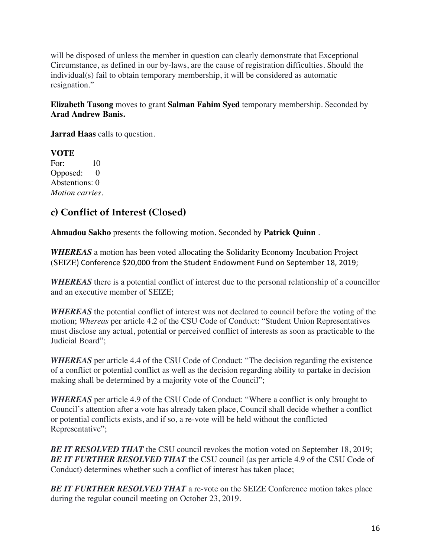will be disposed of unless the member in question can clearly demonstrate that Exceptional Circumstance, as defined in our by-laws, are the cause of registration difficulties. Should the individual(s) fail to obtain temporary membership, it will be considered as automatic resignation."

**Elizabeth Tasong** moves to grant **Salman Fahim Syed** temporary membership. Seconded by **Arad Andrew Banis.**

**Jarrad Haas** calls to question.

**VOTE**  For: 10 Opposed: 0 Abstentions: 0 *Motion carries.* 

## **c) Conflict of Interest (Closed)**

**Ahmadou Sakho** presents the following motion. Seconded by **Patrick Quinn** .

*WHEREAS* a motion has been voted allocating the Solidarity Economy Incubation Project (SEIZE) Conference \$20,000 from the Student Endowment Fund on September 18, 2019;

*WHEREAS* there is a potential conflict of interest due to the personal relationship of a councillor and an executive member of SEIZE;

*WHEREAS* the potential conflict of interest was not declared to council before the voting of the motion; *Whereas* per article 4.2 of the CSU Code of Conduct: "Student Union Representatives must disclose any actual, potential or perceived conflict of interests as soon as practicable to the Judicial Board";

*WHEREAS* per article 4.4 of the CSU Code of Conduct: "The decision regarding the existence of a conflict or potential conflict as well as the decision regarding ability to partake in decision making shall be determined by a majority vote of the Council";

*WHEREAS* per article 4.9 of the CSU Code of Conduct: "Where a conflict is only brought to Council's attention after a vote has already taken place, Council shall decide whether a conflict or potential conflicts exists, and if so, a re-vote will be held without the conflicted Representative";

**BE IT RESOLVED THAT** the CSU council revokes the motion voted on September 18, 2019; *BE IT FURTHER RESOLVED THAT* the CSU council (as per article 4.9 of the CSU Code of Conduct) determines whether such a conflict of interest has taken place;

*BE IT FURTHER RESOLVED THAT* a re-vote on the SEIZE Conference motion takes place during the regular council meeting on October 23, 2019.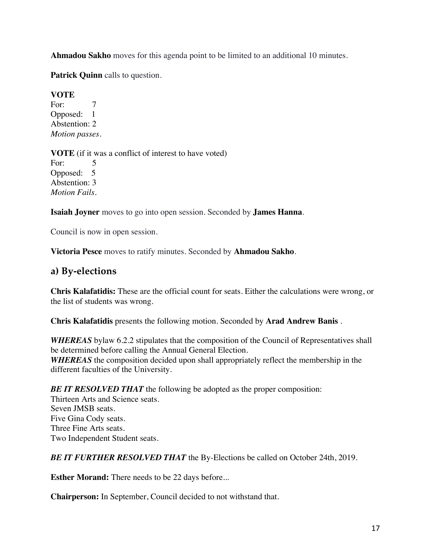**Ahmadou Sakho** moves for this agenda point to be limited to an additional 10 minutes.

**Patrick Quinn** calls to question.

#### **VOTE**

For: 7 Opposed: 1 Abstention: 2 *Motion passes.* 

**VOTE** (if it was a conflict of interest to have voted) For: 5 Opposed: 5 Abstention: 3 *Motion Fails.* 

**Isaiah Joyner** moves to go into open session. Seconded by **James Hanna**.

Council is now in open session.

**Victoria Pesce** moves to ratify minutes. Seconded by **Ahmadou Sakho**.

## **a) By-elections**

**Chris Kalafatidis:** These are the official count for seats. Either the calculations were wrong, or the list of students was wrong.

**Chris Kalafatidis** presents the following motion. Seconded by **Arad Andrew Banis** .

*WHEREAS* bylaw 6.2.2 stipulates that the composition of the Council of Representatives shall be determined before calling the Annual General Election. *WHEREAS* the composition decided upon shall appropriately reflect the membership in the different faculties of the University.

**BE IT RESOLVED THAT** the following be adopted as the proper composition: Thirteen Arts and Science seats. Seven JMSB seats. Five Gina Cody seats. Three Fine Arts seats. Two Independent Student seats.

*BE IT FURTHER RESOLVED THAT* the By-Elections be called on October 24th, 2019.

**Esther Morand:** There needs to be 22 days before...

**Chairperson:** In September, Council decided to not withstand that.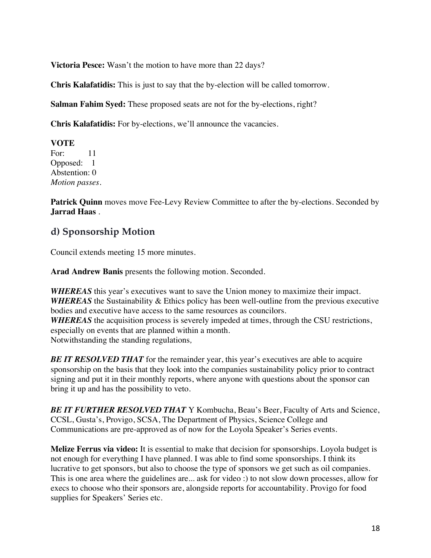**Victoria Pesce:** Wasn't the motion to have more than 22 days?

**Chris Kalafatidis:** This is just to say that the by-election will be called tomorrow.

**Salman Fahim Syed:** These proposed seats are not for the by-elections, right?

**Chris Kalafatidis:** For by-elections, we'll announce the vacancies.

**VOTE**  For: 11 Opposed: 1 Abstention: 0 *Motion passes.* 

**Patrick Quinn** moves move Fee-Levy Review Committee to after the by-elections. Seconded by **Jarrad Haas** .

### **d) Sponsorship Motion**

Council extends meeting 15 more minutes.

**Arad Andrew Banis** presents the following motion. Seconded.

*WHEREAS* this year's executives want to save the Union money to maximize their impact. *WHEREAS* the Sustainability & Ethics policy has been well-outline from the previous executive bodies and executive have access to the same resources as councilors. *WHEREAS* the acquisition process is severely impeded at times, through the CSU restrictions, especially on events that are planned within a month.

Notwithstanding the standing regulations*,*

**BE IT RESOLVED THAT** for the remainder year, this year's executives are able to acquire sponsorship on the basis that they look into the companies sustainability policy prior to contract signing and put it in their monthly reports, where anyone with questions about the sponsor can bring it up and has the possibility to veto.

*BE IT FURTHER RESOLVED THAT* Y Kombucha, Beau's Beer, Faculty of Arts and Science, CCSL, Gusta's, Provigo, SCSA, The Department of Physics, Science College and Communications are pre-approved as of now for the Loyola Speaker's Series events.

**Melize Ferrus via video:** It is essential to make that decision for sponsorships. Loyola budget is not enough for everything I have planned. I was able to find some sponsorships. I think its lucrative to get sponsors, but also to choose the type of sponsors we get such as oil companies. This is one area where the guidelines are... ask for video :) to not slow down processes, allow for execs to choose who their sponsors are, alongside reports for accountability. Provigo for food supplies for Speakers' Series etc.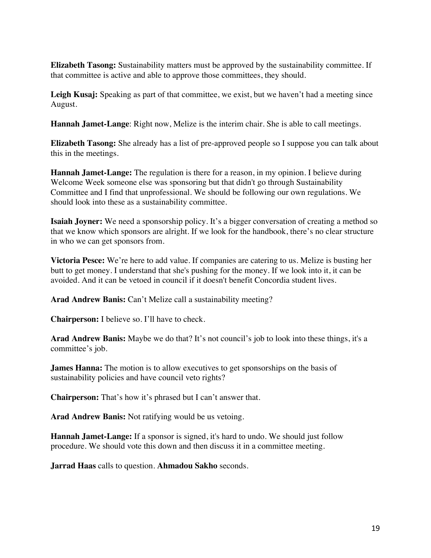**Elizabeth Tasong:** Sustainability matters must be approved by the sustainability committee. If that committee is active and able to approve those committees, they should.

Leigh Kusaj: Speaking as part of that committee, we exist, but we haven't had a meeting since August.

**Hannah Jamet-Lange**: Right now, Melize is the interim chair. She is able to call meetings.

**Elizabeth Tasong:** She already has a list of pre-approved people so I suppose you can talk about this in the meetings.

**Hannah Jamet-Lange:** The regulation is there for a reason, in my opinion. I believe during Welcome Week someone else was sponsoring but that didn't go through Sustainability Committee and I find that unprofessional. We should be following our own regulations. We should look into these as a sustainability committee.

**Isaiah Joyner:** We need a sponsorship policy. It's a bigger conversation of creating a method so that we know which sponsors are alright. If we look for the handbook, there's no clear structure in who we can get sponsors from.

**Victoria Pesce:** We're here to add value. If companies are catering to us. Melize is busting her butt to get money. I understand that she's pushing for the money. If we look into it, it can be avoided. And it can be vetoed in council if it doesn't benefit Concordia student lives.

**Arad Andrew Banis:** Can't Melize call a sustainability meeting?

**Chairperson:** I believe so. I'll have to check.

**Arad Andrew Banis:** Maybe we do that? It's not council's job to look into these things, it's a committee's job.

**James Hanna:** The motion is to allow executives to get sponsorships on the basis of sustainability policies and have council veto rights?

**Chairperson:** That's how it's phrased but I can't answer that.

**Arad Andrew Banis:** Not ratifying would be us vetoing.

**Hannah Jamet-Lange:** If a sponsor is signed, it's hard to undo. We should just follow procedure. We should vote this down and then discuss it in a committee meeting.

**Jarrad Haas** calls to question. **Ahmadou Sakho** seconds.